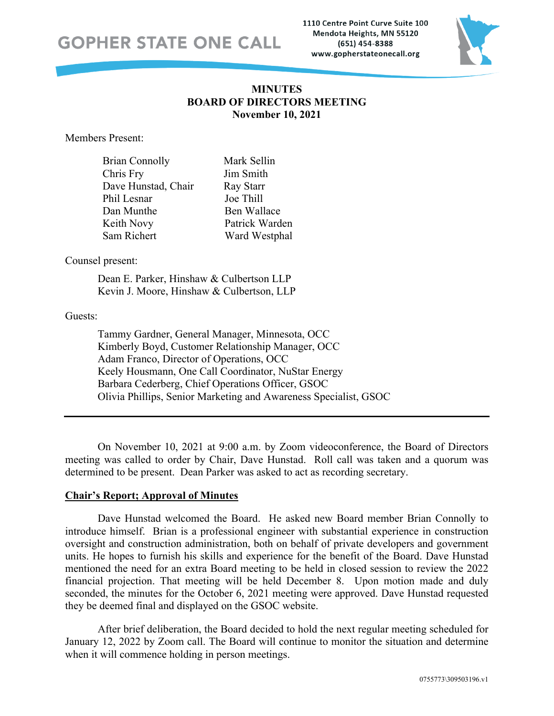### **GOPHER STATE ONE CALL**

1110 Centre Point Curve Suite 100 Mendota Heights, MN 55120 (651) 454-8388 www.gopherstateonecall.org



### **MINUTES BOARD OF DIRECTORS MEETING November 10, 2021**

Members Present:

| <b>Brian Connolly</b> | Mark Sellin    |
|-----------------------|----------------|
| Chris Fry             | Jim Smith      |
| Dave Hunstad, Chair   | Ray Starr      |
| Phil Lesnar           | Joe Thill      |
| Dan Munthe            | Ben Wallace    |
| Keith Novy            | Patrick Warden |
| Sam Richert           | Ward Westphal  |

Counsel present:

Dean E. Parker, Hinshaw & Culbertson LLP Kevin J. Moore, Hinshaw & Culbertson, LLP

### Guests:

Tammy Gardner, General Manager, Minnesota, OCC Kimberly Boyd, Customer Relationship Manager, OCC Adam Franco, Director of Operations, OCC Keely Housmann, One Call Coordinator, NuStar Energy Barbara Cederberg, Chief Operations Officer, GSOC Olivia Phillips, Senior Marketing and Awareness Specialist, GSOC

On November 10, 2021 at 9:00 a.m. by Zoom videoconference, the Board of Directors meeting was called to order by Chair, Dave Hunstad. Roll call was taken and a quorum was determined to be present. Dean Parker was asked to act as recording secretary.

### **Chair's Report; Approval of Minutes**

Dave Hunstad welcomed the Board. He asked new Board member Brian Connolly to introduce himself. Brian is a professional engineer with substantial experience in construction oversight and construction administration, both on behalf of private developers and government units. He hopes to furnish his skills and experience for the benefit of the Board. Dave Hunstad mentioned the need for an extra Board meeting to be held in closed session to review the 2022 financial projection. That meeting will be held December 8. Upon motion made and duly seconded, the minutes for the October 6, 2021 meeting were approved. Dave Hunstad requested they be deemed final and displayed on the GSOC website.

After brief deliberation, the Board decided to hold the next regular meeting scheduled for January 12, 2022 by Zoom call. The Board will continue to monitor the situation and determine when it will commence holding in person meetings.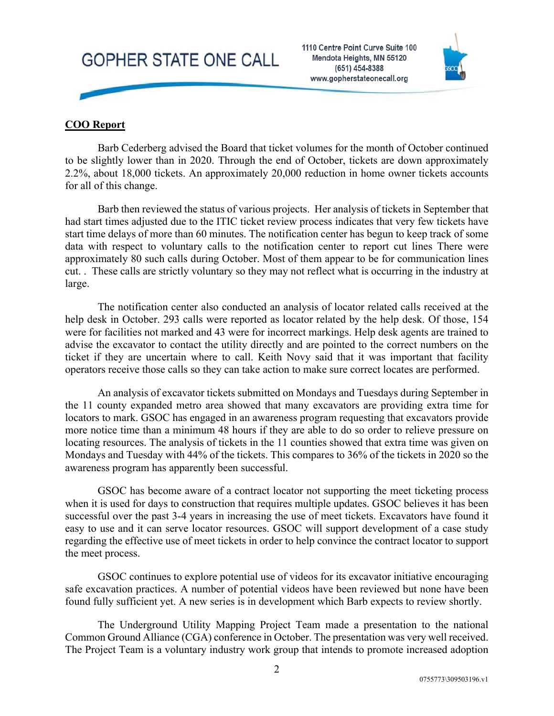# **GOPHER STATE ONE CALL**



### **COO Report**

Barb Cederberg advised the Board that ticket volumes for the month of October continued to be slightly lower than in 2020. Through the end of October, tickets are down approximately 2.2%, about 18,000 tickets. An approximately 20,000 reduction in home owner tickets accounts for all of this change.

Barb then reviewed the status of various projects. Her analysis of tickets in September that had start times adjusted due to the ITIC ticket review process indicates that very few tickets have start time delays of more than 60 minutes. The notification center has begun to keep track of some data with respect to voluntary calls to the notification center to report cut lines There were approximately 80 such calls during October. Most of them appear to be for communication lines cut. . These calls are strictly voluntary so they may not reflect what is occurring in the industry at large.

The notification center also conducted an analysis of locator related calls received at the help desk in October. 293 calls were reported as locator related by the help desk. Of those, 154 were for facilities not marked and 43 were for incorrect markings. Help desk agents are trained to advise the excavator to contact the utility directly and are pointed to the correct numbers on the ticket if they are uncertain where to call. Keith Novy said that it was important that facility operators receive those calls so they can take action to make sure correct locates are performed.

An analysis of excavator tickets submitted on Mondays and Tuesdays during September in the 11 county expanded metro area showed that many excavators are providing extra time for locators to mark. GSOC has engaged in an awareness program requesting that excavators provide more notice time than a minimum 48 hours if they are able to do so order to relieve pressure on locating resources. The analysis of tickets in the 11 counties showed that extra time was given on Mondays and Tuesday with 44% of the tickets. This compares to 36% of the tickets in 2020 so the awareness program has apparently been successful.

GSOC has become aware of a contract locator not supporting the meet ticketing process when it is used for days to construction that requires multiple updates. GSOC believes it has been successful over the past 3-4 years in increasing the use of meet tickets. Excavators have found it easy to use and it can serve locator resources. GSOC will support development of a case study regarding the effective use of meet tickets in order to help convince the contract locator to support the meet process.

GSOC continues to explore potential use of videos for its excavator initiative encouraging safe excavation practices. A number of potential videos have been reviewed but none have been found fully sufficient yet. A new series is in development which Barb expects to review shortly.

The Underground Utility Mapping Project Team made a presentation to the national Common Ground Alliance (CGA) conference in October. The presentation was very well received. The Project Team is a voluntary industry work group that intends to promote increased adoption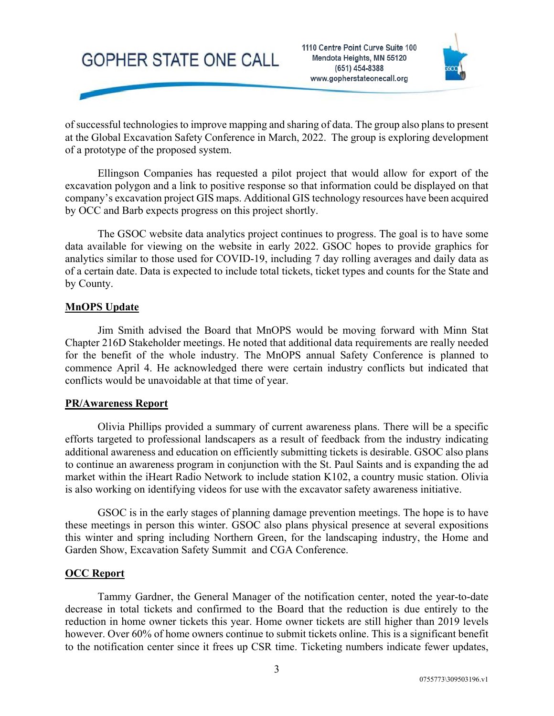## **GOPHER STATE ONE CALL**



of successful technologies to improve mapping and sharing of data. The group also plans to present at the Global Excavation Safety Conference in March, 2022. The group is exploring development of a prototype of the proposed system.

Ellingson Companies has requested a pilot project that would allow for export of the excavation polygon and a link to positive response so that information could be displayed on that company's excavation project GIS maps. Additional GIS technology resources have been acquired by OCC and Barb expects progress on this project shortly.

The GSOC website data analytics project continues to progress. The goal is to have some data available for viewing on the website in early 2022. GSOC hopes to provide graphics for analytics similar to those used for COVID-19, including 7 day rolling averages and daily data as of a certain date. Data is expected to include total tickets, ticket types and counts for the State and by County.

### **MnOPS Update**

Jim Smith advised the Board that MnOPS would be moving forward with Minn Stat Chapter 216D Stakeholder meetings. He noted that additional data requirements are really needed for the benefit of the whole industry. The MnOPS annual Safety Conference is planned to commence April 4. He acknowledged there were certain industry conflicts but indicated that conflicts would be unavoidable at that time of year.

### **PR/Awareness Report**

Olivia Phillips provided a summary of current awareness plans. There will be a specific efforts targeted to professional landscapers as a result of feedback from the industry indicating additional awareness and education on efficiently submitting tickets is desirable. GSOC also plans to continue an awareness program in conjunction with the St. Paul Saints and is expanding the ad market within the iHeart Radio Network to include station K102, a country music station. Olivia is also working on identifying videos for use with the excavator safety awareness initiative.

GSOC is in the early stages of planning damage prevention meetings. The hope is to have these meetings in person this winter. GSOC also plans physical presence at several expositions this winter and spring including Northern Green, for the landscaping industry, the Home and Garden Show, Excavation Safety Summit and CGA Conference.

#### **OCC Report**

Tammy Gardner, the General Manager of the notification center, noted the year-to-date decrease in total tickets and confirmed to the Board that the reduction is due entirely to the reduction in home owner tickets this year. Home owner tickets are still higher than 2019 levels however. Over 60% of home owners continue to submit tickets online. This is a significant benefit to the notification center since it frees up CSR time. Ticketing numbers indicate fewer updates,